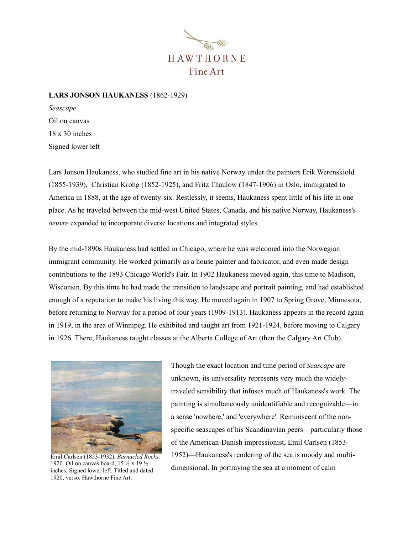

## **LARS JONSON HAUKANESS** (1862-1929)

*Seascape* Oil on canvas 18 x 30 inches Signed lower left

Lars Jonson Haukaness, who studied fine art in his native Norway under the painters Erik Werenskiold (1855-1939), Christian Krohg (1852-1925), and Fritz Thaulow (1847-1906) in Oslo, immigrated to America in 1888, at the age of twenty-six. Restlessly, it seems, Haukaness spent little of his life in one place. As he traveled between the mid-west United States, Canada, and his native Norway, Haukaness's *oeuvre* expanded to incorporate diverse locations and integrated styles.

By the mid-1890s Haukaness had settled in Chicago, where he was welcomed into the Norwegian immigrant community. He worked primarily as a house painter and fabricator, and even made design contributions to the 1893 Chicago World's Fair. In 1902 Haukaness moved again, this time to Madison, Wisconsin. By this time he had made the transition to landscape and portrait painting, and had established enough of a reputation to make his living this way. He moved again in 1907 to Spring Grove, Minnesota, before returning to Norway for a period of four years (1909-1913). Haukaness appears in the record again in 1919, in the area of Winnipeg. He exhibited and taught art from 1921-1924, before moving to Calgary in 1926. There, Haukaness taught classes at the Alberta College of Art (then the Calgary Art Club).



Emil Carlsen (1853-1932), *Barnacled Rocks,*  1920. Oil on canvas board, 15 ½ x 19 ½ inches. Signed lower left. Titled and dated 1920, verso. Hawthorne Fine Art.

Though the exact location and time period of *Seascape* are unknown, its universality represents very much the widelytraveled sensibility that infuses much of Haukaness's work. The painting is simultaneously unidentifiable and recognizable—in a sense 'nowhere,' and 'everywhere'. Reminiscent of the nonspecific seascapes of his Scandinavian peers—particularly those of the American-Danish impressionist, Emil Carlsen (1853- 1952)—Haukaness's rendering of the sea is moody and multidimensional. In portraying the sea at a moment of calm